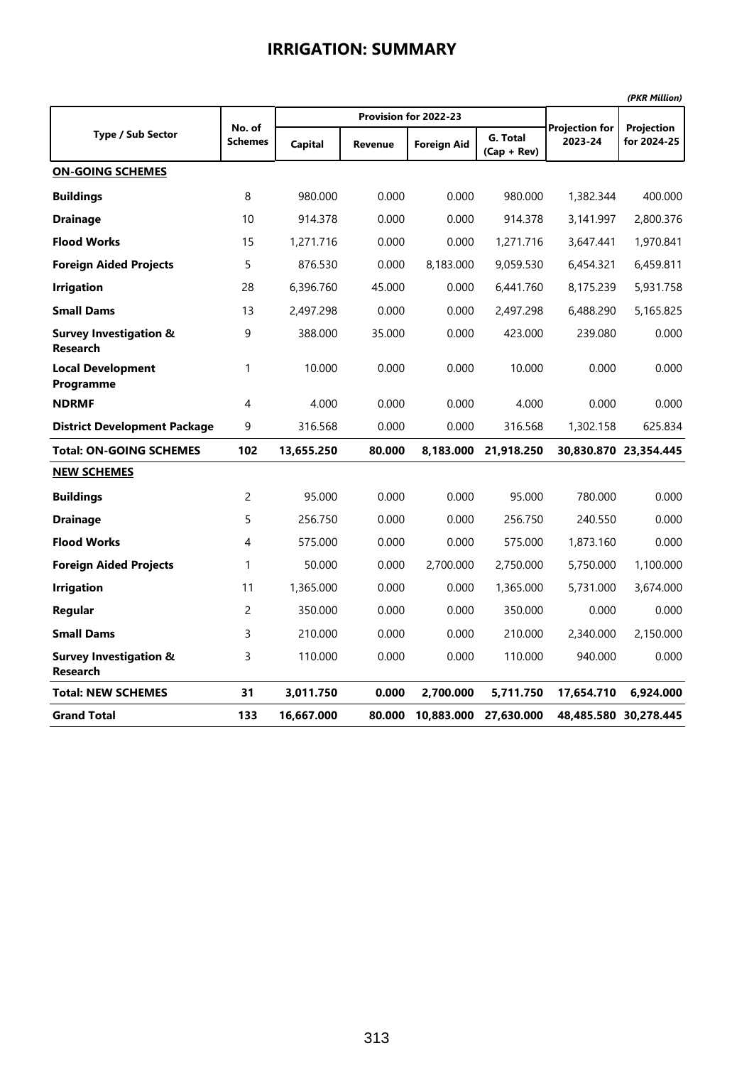|--|

|                                                      |                          |                |                |                       |                           |                                  | (PKR Million)             |  |
|------------------------------------------------------|--------------------------|----------------|----------------|-----------------------|---------------------------|----------------------------------|---------------------------|--|
|                                                      |                          |                |                | Provision for 2022-23 |                           |                                  |                           |  |
| Type / Sub Sector                                    | No. of<br><b>Schemes</b> | <b>Capital</b> | <b>Revenue</b> | Foreign Aid           | G. Total<br>$(Cap + Rev)$ | <b>Projection for</b><br>2023-24 | Projection<br>for 2024-25 |  |
| <b>ON-GOING SCHEMES</b>                              |                          |                |                |                       |                           |                                  |                           |  |
| <b>Buildings</b>                                     | 8                        | 980.000        | 0.000          | 0.000                 | 980.000                   | 1,382.344                        | 400.000                   |  |
| <b>Drainage</b>                                      | 10                       | 914.378        | 0.000          | 0.000                 | 914.378                   | 3,141.997                        | 2,800.376                 |  |
| <b>Flood Works</b>                                   | 15                       | 1,271.716      | 0.000          | 0.000                 | 1,271.716                 | 3,647.441                        | 1,970.841                 |  |
| <b>Foreign Aided Projects</b>                        | 5                        | 876.530        | 0.000          | 8,183.000             | 9,059.530                 | 6,454.321                        | 6,459.811                 |  |
| <b>Irrigation</b>                                    | 28                       | 6,396.760      | 45.000         | 0.000                 | 6,441.760                 | 8,175.239                        | 5,931.758                 |  |
| <b>Small Dams</b>                                    | 13                       | 2,497.298      | 0.000          | 0.000                 | 2,497.298                 | 6,488.290                        | 5,165.825                 |  |
| <b>Survey Investigation &amp;</b><br><b>Research</b> | 9                        | 388.000        | 35.000         | 0.000                 | 423.000                   | 239.080                          | 0.000                     |  |
| <b>Local Development</b><br>Programme                | 1                        | 10.000         | 0.000          | 0.000                 | 10.000                    | 0.000                            | 0.000                     |  |
| <b>NDRMF</b>                                         | $\overline{4}$           | 4.000          | 0.000          | 0.000                 | 4.000                     | 0.000                            | 0.000                     |  |
| <b>District Development Package</b>                  | 9                        | 316.568        | 0.000          | 0.000                 | 316.568                   | 1,302.158                        | 625.834                   |  |
| <b>Total: ON-GOING SCHEMES</b>                       | 102                      | 13,655.250     | 80.000         | 8.183.000             | 21,918.250                |                                  | 30,830.870 23,354.445     |  |
| <b>NEW SCHEMES</b>                                   |                          |                |                |                       |                           |                                  |                           |  |
| <b>Buildings</b>                                     | $\overline{c}$           | 95.000         | 0.000          | 0.000                 | 95.000                    | 780.000                          | 0.000                     |  |
| <b>Drainage</b>                                      | 5                        | 256.750        | 0.000          | 0.000                 | 256.750                   | 240.550                          | 0.000                     |  |
| <b>Flood Works</b>                                   | 4                        | 575.000        | 0.000          | 0.000                 | 575.000                   | 1,873.160                        | 0.000                     |  |
| <b>Foreign Aided Projects</b>                        | $\mathbf{1}$             | 50.000         | 0.000          | 2,700.000             | 2,750.000                 | 5,750.000                        | 1,100.000                 |  |
| <b>Irrigation</b>                                    | 11                       | 1,365.000      | 0.000          | 0.000                 | 1,365.000                 | 5,731.000                        | 3,674.000                 |  |
| Regular                                              | $\overline{c}$           | 350.000        | 0.000          | 0.000                 | 350.000                   | 0.000                            | 0.000                     |  |
| <b>Small Dams</b>                                    | 3                        | 210.000        | 0.000          | 0.000                 | 210.000                   | 2,340.000                        | 2,150.000                 |  |
| <b>Survey Investigation &amp;</b><br><b>Research</b> | 3                        | 110.000        | 0.000          | 0.000                 | 110.000                   | 940.000                          | 0.000                     |  |
| <b>Total: NEW SCHEMES</b>                            | 31                       | 3,011.750      | 0.000          | 2,700.000             | 5,711.750                 | 17,654.710                       | 6,924.000                 |  |
| <b>Grand Total</b>                                   | 133                      | 16,667.000     | 80.000         | 10,883.000            | 27,630.000                |                                  | 48,485.580 30,278.445     |  |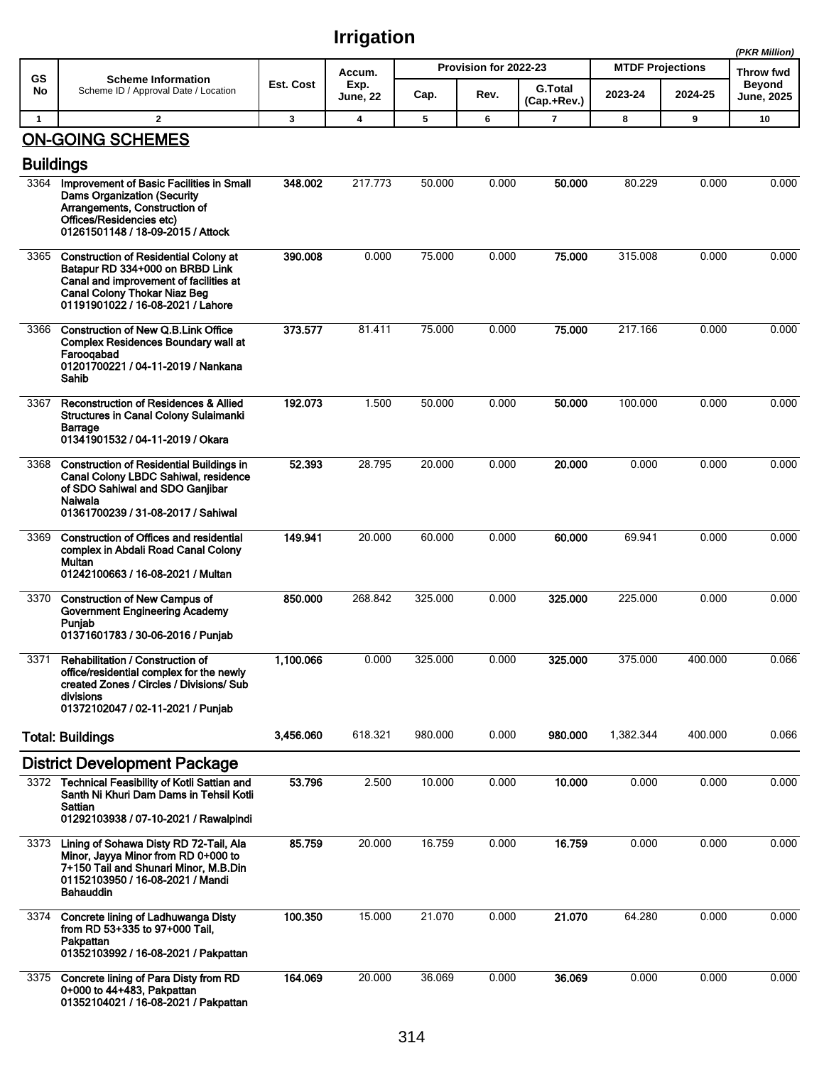|                  |                                                                                                                                                                                                       |              |                         |         |                       |                               |                         |         | (PKR Million)              |
|------------------|-------------------------------------------------------------------------------------------------------------------------------------------------------------------------------------------------------|--------------|-------------------------|---------|-----------------------|-------------------------------|-------------------------|---------|----------------------------|
| GS               | <b>Scheme Information</b>                                                                                                                                                                             | Est. Cost    | Accum.                  |         | Provision for 2022-23 |                               | <b>MTDF Projections</b> |         | Throw fwd<br><b>Beyond</b> |
| No               | Scheme ID / Approval Date / Location                                                                                                                                                                  |              | Exp.<br><b>June, 22</b> | Cap.    | Rev.                  | <b>G.Total</b><br>(Cap.+Rev.) | 2023-24                 | 2024-25 | <b>June, 2025</b>          |
| $\mathbf{1}$     | $\overline{2}$                                                                                                                                                                                        | $\mathbf{3}$ | $\overline{\mathbf{4}}$ | 5       | 6                     | $\overline{7}$                | 8                       | 9       | 10                         |
| <b>Buildings</b> | <b>ON-GOING SCHEMES</b>                                                                                                                                                                               |              |                         |         |                       |                               |                         |         |                            |
| 3364             | Improvement of Basic Facilities in Small<br><b>Dams Organization (Security</b><br>Arrangements, Construction of<br>Offices/Residencies etc)<br>01261501148 / 18-09-2015 / Attock                      | 348.002      | 217.773                 | 50.000  | 0.000                 | 50.000                        | 80.229                  | 0.000   | 0.000                      |
| 3365             | <b>Construction of Residential Colony at</b><br>Batapur RD 334+000 on BRBD Link<br>Canal and improvement of facilities at<br><b>Canal Colony Thokar Niaz Beg</b><br>01191901022 / 16-08-2021 / Lahore | 390.008      | 0.000                   | 75.000  | 0.000                 | 75,000                        | 315.008                 | 0.000   | 0.000                      |
| 3366             | <b>Construction of New Q.B.Link Office</b><br><b>Complex Residences Boundary wall at</b><br>Faroogabad<br>01201700221 / 04-11-2019 / Nankana<br>Sahib                                                 | 373.577      | 81.411                  | 75.000  | 0.000                 | 75,000                        | 217.166                 | 0.000   | 0.000                      |
| 3367             | <b>Reconstruction of Residences &amp; Allied</b><br>Structures in Canal Colony Sulaimanki<br>Barrage<br>01341901532 / 04-11-2019 / Okara                                                              | 192.073      | 1.500                   | 50.000  | 0.000                 | 50.000                        | 100.000                 | 0.000   | 0.000                      |
| 3368             | <b>Construction of Residential Buildings in</b><br>Canal Colony LBDC Sahiwal, residence<br>of SDO Sahiwal and SDO Ganjibar<br>Naiwala<br>01361700239 / 31-08-2017 / Sahiwal                           | 52.393       | 28.795                  | 20.000  | 0.000                 | 20,000                        | 0.000                   | 0.000   | 0.000                      |
| 3369             | <b>Construction of Offices and residential</b><br>complex in Abdali Road Canal Colony<br>Multan<br>01242100663 / 16-08-2021 / Multan                                                                  | 149.941      | 20.000                  | 60.000  | 0.000                 | 60.000                        | 69.941                  | 0.000   | 0.000                      |
| 3370             | <b>Construction of New Campus of</b><br><b>Government Engineering Academy</b><br>Punjab<br>01371601783 / 30-06-2016 / Punjab                                                                          | 850.000      | 268.842                 | 325.000 | 0.000                 | 325.000                       | 225.000                 | 0.000   | 0.000                      |
| 3371             | Rehabilitation / Construction of<br>office/residential complex for the newly<br>created Zones / Circles / Divisions/ Sub<br>divisions<br>01372102047 / 02-11-2021 / Punjab                            | 1,100.066    | 0.000                   | 325.000 | 0.000                 | 325.000                       | 375.000                 | 400.000 | 0.066                      |
|                  | <b>Total: Buildings</b>                                                                                                                                                                               | 3,456.060    | 618.321                 | 980.000 | 0.000                 | 980.000                       | 1,382.344               | 400.000 | 0.066                      |
|                  | <b>District Development Package</b>                                                                                                                                                                   |              |                         |         |                       |                               |                         |         |                            |
|                  | 3372 Technical Feasibility of Kotli Sattian and<br>Santh Ni Khuri Dam Dams in Tehsil Kotli<br>Sattian<br>01292103938 / 07-10-2021 / Rawalpindi                                                        | 53.796       | 2.500                   | 10.000  | 0.000                 | 10.000                        | 0.000                   | 0.000   | 0.000                      |
| 3373             | Lining of Sohawa Disty RD 72-Tail, Ala<br>Minor, Jayya Minor from RD 0+000 to<br>7+150 Tail and Shunari Minor, M.B.Din<br>01152103950 / 16-08-2021 / Mandi<br><b>Bahauddin</b>                        | 85.759       | 20.000                  | 16.759  | 0.000                 | 16.759                        | 0.000                   | 0.000   | 0.000                      |
| 3374             | Concrete lining of Ladhuwanga Disty<br>from RD 53+335 to 97+000 Tail,<br>Pakpattan<br>01352103992 / 16-08-2021 / Pakpattan                                                                            | 100.350      | 15.000                  | 21.070  | 0.000                 | 21.070                        | 64.280                  | 0.000   | 0.000                      |
|                  | 3375 Concrete lining of Para Disty from RD<br>0+000 to 44+483, Pakpattan<br>01352104021 / 16-08-2021 / Pakpattan                                                                                      | 164.069      | 20.000                  | 36.069  | 0.000                 | 36.069                        | 0.000                   | 0.000   | 0.000                      |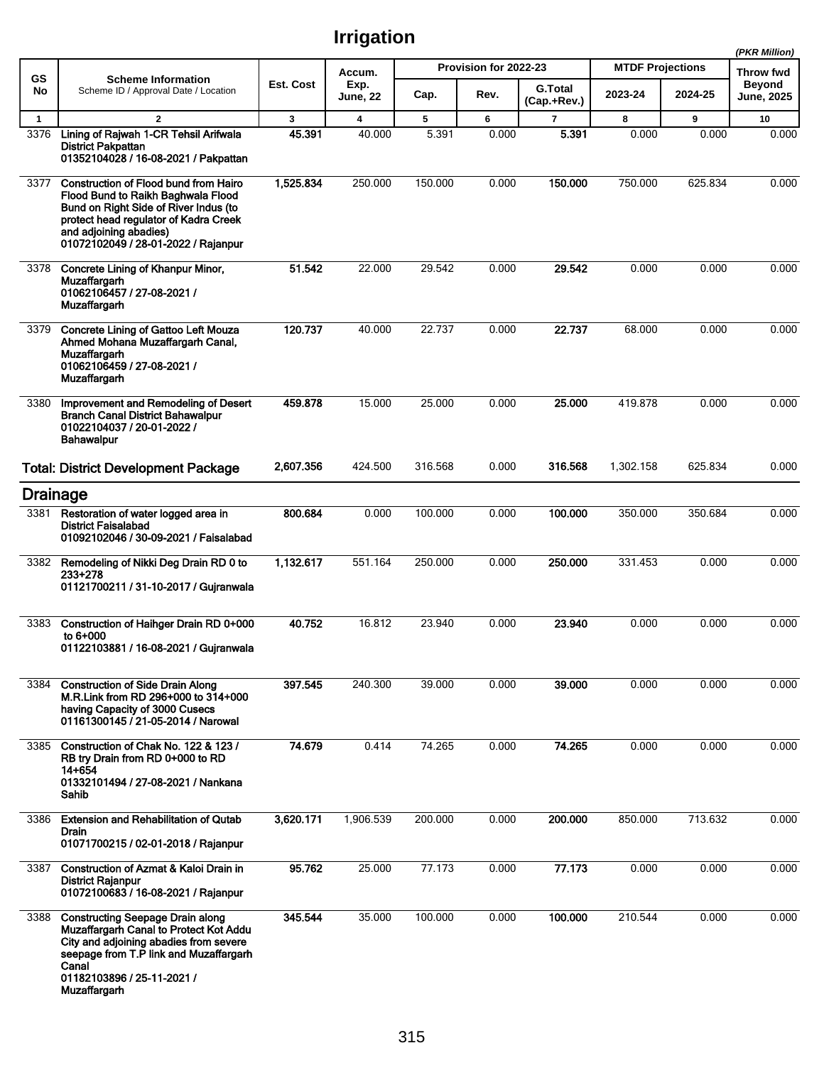|              |                                                                                                                                                                                                                                       |              |                         |         |                       |                               |                         |         | (PKR Million)        |
|--------------|---------------------------------------------------------------------------------------------------------------------------------------------------------------------------------------------------------------------------------------|--------------|-------------------------|---------|-----------------------|-------------------------------|-------------------------|---------|----------------------|
| GS           | <b>Scheme Information</b>                                                                                                                                                                                                             |              | Accum.                  |         | Provision for 2022-23 |                               | <b>MTDF Projections</b> |         | Throw fwd            |
| No           | Scheme ID / Approval Date / Location                                                                                                                                                                                                  | Est. Cost    | Exp.<br><b>June, 22</b> | Cap.    | Rev.                  | <b>G.Total</b><br>(Cap.+Rev.) | 2023-24                 | 2024-25 | Beyond<br>June, 2025 |
| $\mathbf{1}$ | $\overline{2}$                                                                                                                                                                                                                        | $\mathbf{3}$ | $\overline{\mathbf{4}}$ | 5       | 6                     | $\overline{7}$                | 8                       | 9       | 10                   |
| 3376         | Lining of Rajwah 1-CR Tehsil Arifwala<br><b>District Pakpattan</b><br>01352104028 / 16-08-2021 / Pakpattan                                                                                                                            | 45.391       | 40.000                  | 5.391   | 0.000                 | 5.391                         | 0.000                   | 0.000   | 0.000                |
| 3377         | <b>Construction of Flood bund from Hairo</b><br>Flood Bund to Raikh Baghwala Flood<br>Bund on Right Side of River Indus (to<br>protect head regulator of Kadra Creek<br>and adjoining abadies)<br>01072102049 / 28-01-2022 / Rajanpur | 1,525.834    | 250.000                 | 150.000 | 0.000                 | 150.000                       | 750.000                 | 625.834 | 0.000                |
| 3378         | Concrete Lining of Khanpur Minor,<br>Muzaffargarh<br>01062106457 / 27-08-2021 /<br><b>Muzaffargarh</b>                                                                                                                                | 51.542       | 22.000                  | 29.542  | 0.000                 | 29.542                        | 0.000                   | 0.000   | 0.000                |
| 3379         | <b>Concrete Lining of Gattoo Left Mouza</b><br>Ahmed Mohana Muzaffargarh Canal,<br><b>Muzaffargarh</b><br>01062106459 / 27-08-2021 /<br><b>Muzaffargarh</b>                                                                           | 120.737      | 40.000                  | 22.737  | 0.000                 | 22.737                        | 68.000                  | 0.000   | 0.000                |
| 3380         | Improvement and Remodeling of Desert<br><b>Branch Canal District Bahawalpur</b><br>01022104037 / 20-01-2022 /<br><b>Bahawalpur</b>                                                                                                    | 459.878      | 15.000                  | 25.000  | 0.000                 | 25.000                        | 419.878                 | 0.000   | 0.000                |
|              | <b>Total: District Development Package</b>                                                                                                                                                                                            | 2,607.356    | 424.500                 | 316.568 | 0.000                 | 316.568                       | 1,302.158               | 625.834 | 0.000                |
|              | <b>Drainage</b>                                                                                                                                                                                                                       |              |                         |         |                       |                               |                         |         |                      |
| 3381         | Restoration of water logged area in<br><b>District Faisalabad</b><br>01092102046 / 30-09-2021 / Faisalabad                                                                                                                            | 800.684      | 0.000                   | 100.000 | 0.000                 | 100.000                       | 350.000                 | 350.684 | 0.000                |
|              | 3382 Remodeling of Nikki Deg Drain RD 0 to<br>$233 + 278$<br>01121700211 / 31-10-2017 / Gujranwala                                                                                                                                    | 1,132.617    | 551.164                 | 250.000 | 0.000                 | 250.000                       | 331.453                 | 0.000   | 0.000                |
| 3383         | Construction of Haihger Drain RD 0+000<br>to 6+000<br>01122103881 / 16-08-2021 / Gujranwala                                                                                                                                           | 40.752       | 16.812                  | 23.940  | 0.000                 | 23.940                        | 0.000                   | 0.000   | 0.000                |
| 3384         | <b>Construction of Side Drain Along</b><br>M.R.Link from RD 296+000 to 314+000<br>having Capacity of 3000 Cusecs<br>01161300145 / 21-05-2014 / Narowal                                                                                | 397.545      | 240.300                 | 39.000  | 0.000                 | 39.000                        | 0.000                   | 0.000   | 0.000                |
| 3385         | Construction of Chak No. 122 & 123 /<br>RB try Drain from RD 0+000 to RD<br>$14 + 654$<br>01332101494 / 27-08-2021 / Nankana<br>Sahib                                                                                                 | 74.679       | 0.414                   | 74.265  | 0.000                 | 74.265                        | 0.000                   | 0.000   | 0.000                |
| 3386         | <b>Extension and Rehabilitation of Qutab</b><br><b>Drain</b><br>01071700215 / 02-01-2018 / Rajanpur                                                                                                                                   | 3,620.171    | 1,906.539               | 200.000 | 0.000                 | 200.000                       | 850.000                 | 713.632 | 0.000                |
| 3387         | Construction of Azmat & Kaloi Drain in<br><b>District Rajanpur</b><br>01072100683 / 16-08-2021 / Rajanpur                                                                                                                             | 95.762       | 25.000                  | 77.173  | 0.000                 | 77.173                        | 0.000                   | 0.000   | 0.000                |
| 3388         | <b>Constructing Seepage Drain along</b><br>Muzaffargarh Canal to Protect Kot Addu<br>City and adjoining abadies from severe<br>seepage from T.P link and Muzaffargarh<br>Canal<br>01182103896 / 25-11-2021 /<br><b>Muzaffargarh</b>   | 345.544      | 35.000                  | 100.000 | 0.000                 | 100.000                       | 210.544                 | 0.000   | 0.000                |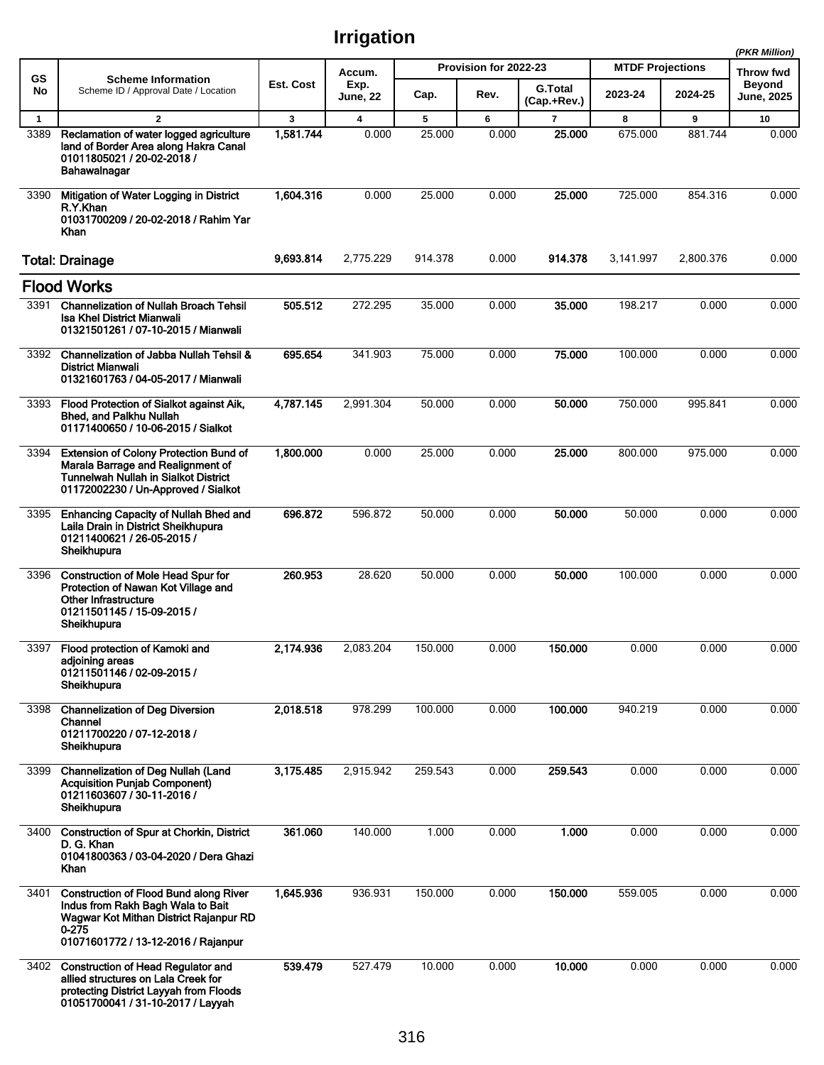|              |                                                                                                                                                                                  |           |                         |         |                       |                               |                         |           | (PKR Million)                      |
|--------------|----------------------------------------------------------------------------------------------------------------------------------------------------------------------------------|-----------|-------------------------|---------|-----------------------|-------------------------------|-------------------------|-----------|------------------------------------|
| GS           | <b>Scheme Information</b>                                                                                                                                                        |           | Accum.                  |         | Provision for 2022-23 |                               | <b>MTDF Projections</b> |           | Throw fwd                          |
| No           | Scheme ID / Approval Date / Location                                                                                                                                             | Est. Cost | Exp.<br><b>June, 22</b> | Cap.    | Rev.                  | <b>G.Total</b><br>(Cap.+Rev.) | 2023-24                 | 2024-25   | <b>Beyond</b><br><b>June, 2025</b> |
| $\mathbf{1}$ | $\mathbf{2}$                                                                                                                                                                     | 3         | $\overline{\mathbf{4}}$ | 5       | 6                     | 7                             | 8                       | 9         | 10                                 |
| 3389         | Reclamation of water logged agriculture<br>land of Border Area along Hakra Canal<br>01011805021 / 20-02-2018 /<br>Bahawalnagar                                                   | 1,581.744 | 0.000                   | 25.000  | 0.000                 | 25.000                        | 675.000                 | 881.744   | 0.000                              |
| 3390         | Mitigation of Water Logging in District<br>R.Y.Khan<br>01031700209 / 20-02-2018 / Rahim Yar<br>Khan                                                                              | 1,604.316 | 0.000                   | 25.000  | 0.000                 | 25.000                        | 725.000                 | 854.316   | 0.000                              |
|              | <b>Total: Drainage</b>                                                                                                                                                           | 9,693.814 | 2,775.229               | 914.378 | 0.000                 | 914.378                       | 3,141.997               | 2,800.376 | 0.000                              |
|              | <b>Flood Works</b>                                                                                                                                                               |           |                         |         |                       |                               |                         |           |                                    |
| 3391         | <b>Channelization of Nullah Broach Tehsil</b><br><b>Isa Khel District Mianwali</b><br>01321501261 / 07-10-2015 / Mianwali                                                        | 505.512   | 272.295                 | 35.000  | 0.000                 | 35.000                        | 198.217                 | 0.000     | 0.000                              |
| 3392         | Channelization of Jabba Nullah Tehsil &<br><b>District Mianwali</b><br>01321601763 / 04-05-2017 / Mianwali                                                                       | 695.654   | 341.903                 | 75.000  | 0.000                 | 75.000                        | 100.000                 | 0.000     | 0.000                              |
| 3393         | Flood Protection of Sialkot against Aik,<br><b>Bhed, and Palkhu Nullah</b><br>01171400650 / 10-06-2015 / Sialkot                                                                 | 4,787.145 | 2,991.304               | 50.000  | 0.000                 | 50,000                        | 750.000                 | 995.841   | 0.000                              |
| 3394         | <b>Extension of Colony Protection Bund of</b><br>Marala Barrage and Realignment of<br><b>Tunnelwah Nullah in Sialkot District</b><br>01172002230 / Un-Approved / Sialkot         | 1,800.000 | 0.000                   | 25.000  | 0.000                 | 25.000                        | 800.000                 | 975.000   | 0.000                              |
| 3395         | <b>Enhancing Capacity of Nullah Bhed and</b><br>Laila Drain in District Sheikhupura<br>01211400621 / 26-05-2015 /<br>Sheikhupura                                                 | 696.872   | 596.872                 | 50.000  | 0.000                 | 50.000                        | 50.000                  | 0.000     | 0.000                              |
| 3396         | <b>Construction of Mole Head Spur for</b><br>Protection of Nawan Kot Village and<br><b>Other Infrastructure</b><br>01211501145 / 15-09-2015 /<br>Sheikhupura                     | 260.953   | 28.620                  | 50.000  | 0.000                 | 50.000                        | 100.000                 | 0.000     | 0.000                              |
| 3397         | Flood protection of Kamoki and<br>adjoining areas<br>01211501146 / 02-09-2015 /<br>Sheikhupura                                                                                   | 2,174.936 | 2,083.204               | 150.000 | 0.000                 | 150.000                       | 0.000                   | 0.000     | 0.000                              |
| 3398         | <b>Channelization of Deg Diversion</b><br>Channel<br>01211700220 / 07-12-2018 /<br>Sheikhupura                                                                                   | 2,018.518 | 978.299                 | 100.000 | 0.000                 | 100.000                       | 940.219                 | 0.000     | 0.000                              |
| 3399         | <b>Channelization of Deg Nullah (Land</b><br><b>Acquisition Punjab Component)</b><br>01211603607 / 30-11-2016 /<br>Sheikhupura                                                   | 3,175.485 | 2,915.942               | 259.543 | 0.000                 | 259.543                       | 0.000                   | 0.000     | 0.000                              |
| 3400         | Construction of Spur at Chorkin, District<br>D. G. Khan<br>01041800363 / 03-04-2020 / Dera Ghazi<br><b>Khan</b>                                                                  | 361.060   | 140.000                 | 1.000   | 0.000                 | 1.000                         | 0.000                   | 0.000     | 0.000                              |
| 3401         | <b>Construction of Flood Bund along River</b><br>Indus from Rakh Bagh Wala to Bait<br>Wagwar Kot Mithan District Rajanpur RD<br>$0 - 275$<br>01071601772 / 13-12-2016 / Rajanpur | 1,645.936 | 936.931                 | 150.000 | 0.000                 | 150.000                       | 559.005                 | 0.000     | 0.000                              |
| 3402         | <b>Construction of Head Regulator and</b><br>allied structures on Lala Creek for<br>protecting District Layyah from Floods<br>01051700041 / 31-10-2017 / Layyah                  | 539.479   | 527.479                 | 10.000  | 0.000                 | 10.000                        | 0.000                   | 0.000     | 0.000                              |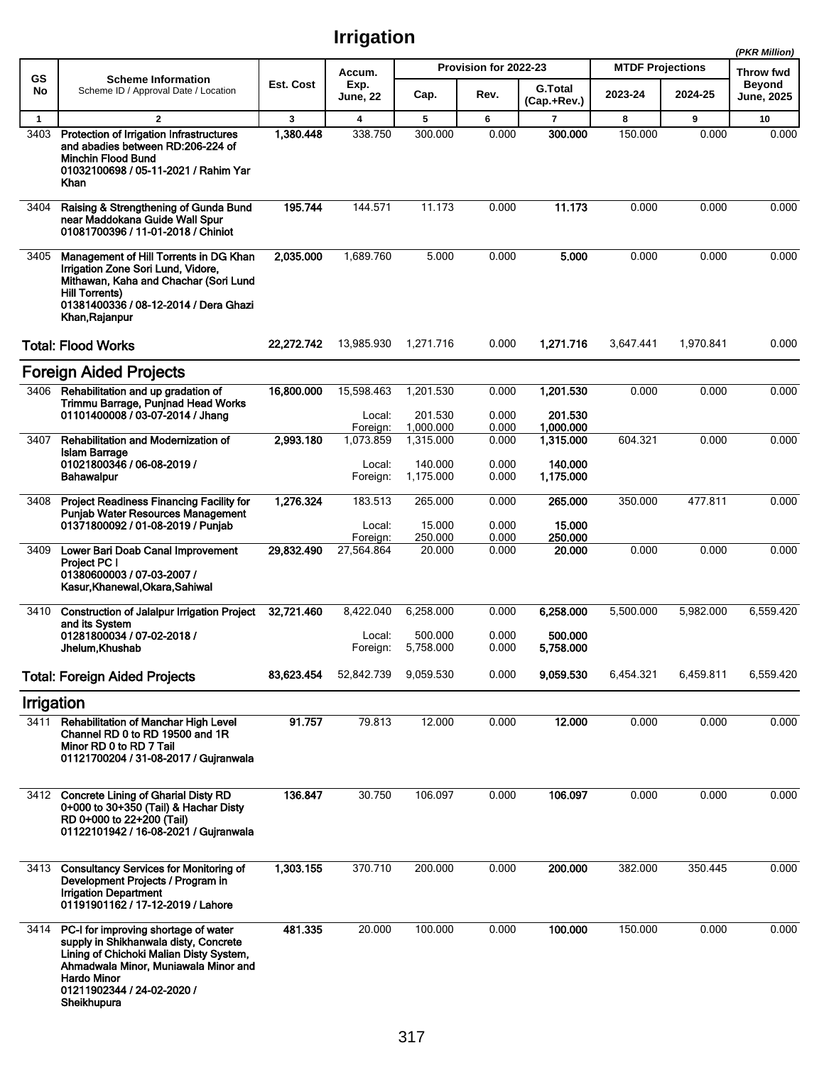|                      |                                                                                                                                                                                                                              |                |                                    |                      |                               |                           |                                    |            | (PKR Million)                     |
|----------------------|------------------------------------------------------------------------------------------------------------------------------------------------------------------------------------------------------------------------------|----------------|------------------------------------|----------------------|-------------------------------|---------------------------|------------------------------------|------------|-----------------------------------|
| <b>GS</b><br>No      | <b>Scheme Information</b><br>Scheme ID / Approval Date / Location                                                                                                                                                            | Est. Cost      | Accum.<br>Exp.                     | Cap.                 | Provision for 2022-23<br>Rev. | <b>G.Total</b>            | <b>MTDF Projections</b><br>2023-24 | 2024-25    | <b>Throw fwd</b><br><b>Beyond</b> |
|                      |                                                                                                                                                                                                                              |                | <b>June, 22</b>                    |                      |                               | (Cap.+Rev.)               |                                    |            | June, 2025                        |
| $\mathbf{1}$<br>3403 | $\overline{2}$<br>Protection of Irrigation Infrastructures<br>and abadies between RD:206-224 of<br><b>Minchin Flood Bund</b><br>01032100698 / 05-11-2021 / Rahim Yar<br>Khan                                                 | 3<br>1.380.448 | $\overline{\mathbf{4}}$<br>338.750 | 5<br>300.000         | 6<br>0.000                    | $\overline{7}$<br>300,000 | 8<br>150.000                       | 9<br>0.000 | 10<br>0.000                       |
| 3404                 | Raising & Strengthening of Gunda Bund<br>near Maddokana Guide Wall Spur<br>01081700396 / 11-01-2018 / Chiniot                                                                                                                | 195.744        | 144.571                            | 11.173               | 0.000                         | 11.173                    | 0.000                              | 0.000      | 0.000                             |
| 3405                 | Management of Hill Torrents in DG Khan<br>Irrigation Zone Sori Lund, Vidore,<br>Mithawan, Kaha and Chachar (Sori Lund<br><b>Hill Torrents)</b><br>01381400336 / 08-12-2014 / Dera Ghazi<br>Khan, Rajanpur                    | 2,035.000      | 1,689.760                          | 5.000                | 0.000                         | 5.000                     | 0.000                              | 0.000      | 0.000                             |
|                      | <b>Total: Flood Works</b>                                                                                                                                                                                                    | 22,272.742     | 13,985.930                         | 1,271.716            | 0.000                         | 1,271.716                 | 3,647.441                          | 1,970.841  | 0.000                             |
|                      | <b>Foreign Aided Projects</b>                                                                                                                                                                                                |                |                                    |                      |                               |                           |                                    |            |                                   |
| 3406                 | Rehabilitation and up gradation of<br>Trimmu Barrage, Punjnad Head Works<br>01101400008 / 03-07-2014 / Jhang                                                                                                                 | 16,800.000     | 15,598.463<br>Local:               | 1,201.530<br>201.530 | 0.000<br>0.000                | 1,201.530<br>201.530      | 0.000                              | 0.000      | 0.000                             |
|                      |                                                                                                                                                                                                                              |                | Foreign:                           | 1,000.000            | 0.000                         | 1,000.000                 |                                    |            |                                   |
| 3407                 | Rehabilitation and Modernization of<br><b>Islam Barrage</b><br>01021800346 / 06-08-2019 /                                                                                                                                    | 2,993.180      | 1,073.859<br>Local:                | 1,315.000<br>140.000 | 0.000<br>0.000                | 1,315.000<br>140.000      | 604.321                            | 0.000      | 0.000                             |
|                      | Bahawalpur                                                                                                                                                                                                                   |                | Foreign:                           | 1,175.000            | 0.000                         | 1,175.000                 |                                    |            |                                   |
| 3408                 | <b>Project Readiness Financing Facility for</b><br><b>Punjab Water Resources Management</b><br>01371800092 / 01-08-2019 / Punjab                                                                                             | 1,276.324      | 183.513<br>Local:                  | 265.000<br>15.000    | 0.000<br>0.000                | 265.000<br>15.000         | 350.000                            | 477.811    | 0.000                             |
|                      |                                                                                                                                                                                                                              |                | Foreign:                           | 250.000              | 0.000                         | 250.000                   |                                    |            |                                   |
| 3409                 | Lower Bari Doab Canal Improvement<br>Project PC I<br>01380600003 / 07-03-2007 /<br>Kasur, Khanewal, Okara, Sahiwal                                                                                                           | 29,832.490     | 27,564.864                         | 20.000               | 0.000                         | 20.000                    | 0.000                              | 0.000      | 0.000                             |
| 3410                 | <b>Construction of Jalalpur Irrigation Project</b><br>and its System                                                                                                                                                         | 32,721.460     | 8,422.040                          | 6,258.000            | 0.000                         | 6,258.000                 | 5,500.000                          | 5,982.000  | 6,559.420                         |
|                      | 01281800034 / 07-02-2018 /<br>Jhelum,Khushab                                                                                                                                                                                 |                | Local:<br>Foreign:                 | 500.000<br>5,758.000 | 0.000<br>0.000                | 500,000<br>5,758.000      |                                    |            |                                   |
|                      | <b>Total: Foreign Aided Projects</b>                                                                                                                                                                                         | 83,623.454     | 52,842.739                         | 9,059.530            | 0.000                         | 9,059.530                 | 6,454.321                          | 6,459.811  | 6,559.420                         |
| Irrigation           |                                                                                                                                                                                                                              |                |                                    |                      |                               |                           |                                    |            |                                   |
| 3411                 | <b>Rehabilitation of Manchar High Level</b><br>Channel RD 0 to RD 19500 and 1R<br>Minor RD 0 to RD 7 Tail<br>01121700204 / 31-08-2017 / Gujranwala                                                                           | 91.757         | 79.813                             | 12.000               | 0.000                         | 12.000                    | 0.000                              | 0.000      | 0.000                             |
|                      | 3412 Concrete Lining of Gharial Disty RD<br>0+000 to 30+350 (Tail) & Hachar Disty<br>RD 0+000 to 22+200 (Tail)<br>01122101942 / 16-08-2021 / Gujranwala                                                                      | 136.847        | 30.750                             | 106.097              | 0.000                         | 106.097                   | 0.000                              | 0.000      | 0.000                             |
| 3413                 | <b>Consultancy Services for Monitoring of</b><br>Development Projects / Program in<br><b>Irrigation Department</b><br>01191901162 / 17-12-2019 / Lahore                                                                      | 1,303.155      | 370.710                            | 200.000              | 0.000                         | 200.000                   | 382.000                            | 350.445    | 0.000                             |
| 3414                 | PC-I for improving shortage of water<br>supply in Shikhanwala disty, Concrete<br>Lining of Chichoki Malian Disty System,<br>Ahmadwala Minor, Muniawala Minor and<br>Hardo Minor<br>01211902344 / 24-02-2020 /<br>Sheikhupura | 481.335        | 20.000                             | 100.000              | 0.000                         | 100.000                   | 150.000                            | 0.000      | 0.000                             |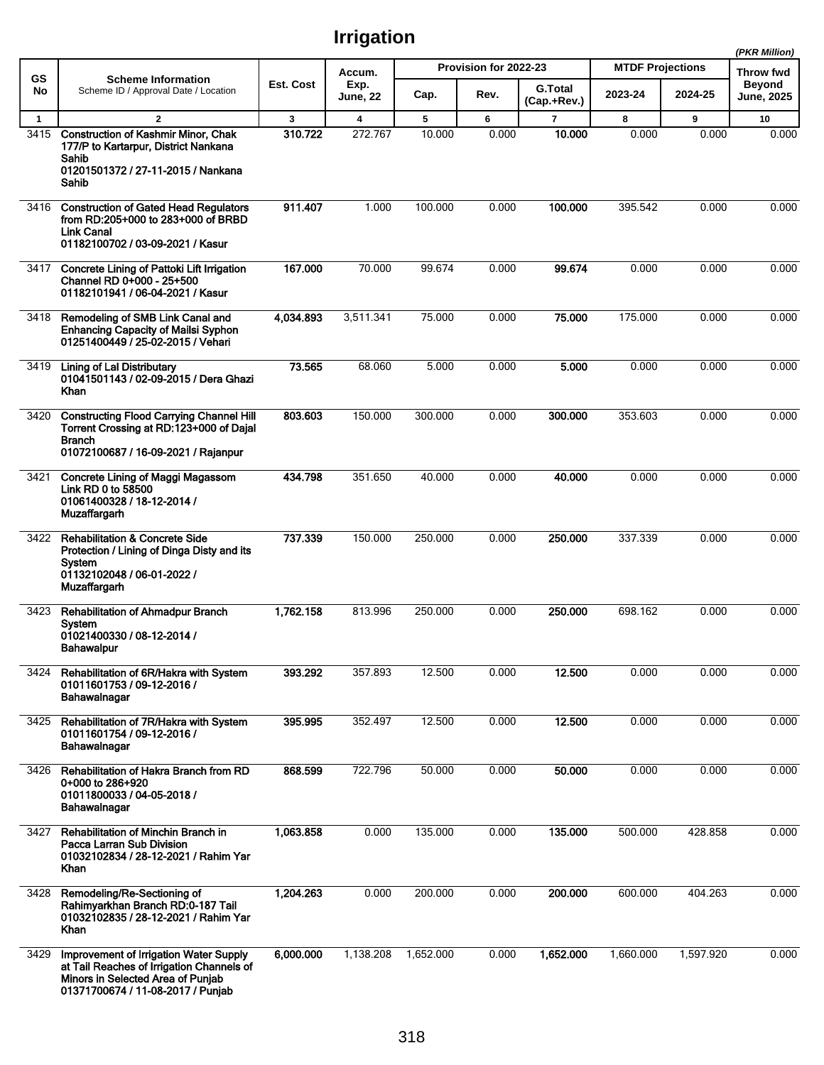|              |                                                                                                                                                               |              |                         |           |                       |                               |                         |           | (PKR Million)        |
|--------------|---------------------------------------------------------------------------------------------------------------------------------------------------------------|--------------|-------------------------|-----------|-----------------------|-------------------------------|-------------------------|-----------|----------------------|
| GS           | <b>Scheme Information</b>                                                                                                                                     |              | Accum.                  |           | Provision for 2022-23 |                               | <b>MTDF Projections</b> |           | Throw fwd            |
| No           | Scheme ID / Approval Date / Location                                                                                                                          | Est. Cost    | Exp.<br><b>June, 22</b> | Cap.      | Rev.                  | <b>G.Total</b><br>(Cap.+Rev.) | 2023-24                 | 2024-25   | Beyond<br>June, 2025 |
| $\mathbf{1}$ | $\mathbf{2}$                                                                                                                                                  | $\mathbf{3}$ | $\overline{\mathbf{4}}$ | 5         | 6                     | $\overline{7}$                | 8                       | 9         | 10                   |
| 3415         | <b>Construction of Kashmir Minor, Chak</b><br>177/P to Kartarpur, District Nankana<br>Sahib<br>01201501372 / 27-11-2015 / Nankana<br>Sahib                    | 310.722      | 272.767                 | 10.000    | 0.000                 | 10.000                        | 0.000                   | 0.000     | 0.000                |
| 3416         | <b>Construction of Gated Head Regulators</b><br>from RD:205+000 to 283+000 of BRBD<br><b>Link Canal</b><br>01182100702 / 03-09-2021 / Kasur                   | 911.407      | 1.000                   | 100.000   | 0.000                 | 100.000                       | 395.542                 | 0.000     | 0.000                |
| 3417         | Concrete Lining of Pattoki Lift Irrigation<br>Channel RD 0+000 - 25+500<br>01182101941 / 06-04-2021 / Kasur                                                   | 167.000      | 70.000                  | 99.674    | 0.000                 | 99.674                        | 0.000                   | 0.000     | 0.000                |
| 3418         | Remodeling of SMB Link Canal and<br><b>Enhancing Capacity of Mailsi Syphon</b><br>01251400449 / 25-02-2015 / Vehari                                           | 4,034.893    | 3,511.341               | 75.000    | 0.000                 | 75.000                        | 175.000                 | 0.000     | 0.000                |
| 3419         | <b>Lining of Lal Distributary</b><br>01041501143 / 02-09-2015 / Dera Ghazi<br>Khan                                                                            | 73.565       | 68.060                  | 5.000     | 0.000                 | 5.000                         | 0.000                   | 0.000     | 0.000                |
| 3420         | <b>Constructing Flood Carrying Channel Hill</b><br>Torrent Crossing at RD:123+000 of Dajal<br><b>Branch</b><br>01072100687 / 16-09-2021 / Rajanpur            | 803.603      | 150.000                 | 300.000   | 0.000                 | 300.000                       | 353.603                 | 0.000     | 0.000                |
| 3421         | Concrete Lining of Maggi Magassom<br>Link RD 0 to 58500<br>01061400328 / 18-12-2014 /<br><b>Muzaffargarh</b>                                                  | 434.798      | 351.650                 | 40.000    | 0.000                 | 40.000                        | 0.000                   | 0.000     | 0.000                |
| 3422         | <b>Rehabilitation &amp; Concrete Side</b><br>Protection / Lining of Dinga Disty and its<br>System<br>01132102048 / 06-01-2022 /<br>Muzaffargarh               | 737.339      | 150.000                 | 250.000   | 0.000                 | 250.000                       | 337.339                 | 0.000     | 0.000                |
| 3423         | <b>Rehabilitation of Ahmadpur Branch</b><br>System<br>01021400330 / 08-12-2014 /<br>Bahawalpur                                                                | 1.762.158    | 813.996                 | 250.000   | 0.000                 | 250,000                       | 698.162                 | 0.000     | 0.000                |
| 3424         | Rehabilitation of 6R/Hakra with System<br>01011601753 / 09-12-2016 /<br>Bahawalnagar                                                                          | 393.292      | 357.893                 | 12.500    | 0.000                 | 12.500                        | 0.000                   | 0.000     | 0.000                |
| 3425         | Rehabilitation of 7R/Hakra with System<br>01011601754 / 09-12-2016 /<br>Bahawalnagar                                                                          | 395.995      | 352.497                 | 12.500    | 0.000                 | 12.500                        | 0.000                   | 0.000     | 0.000                |
| 3426         | Rehabilitation of Hakra Branch from RD<br>0+000 to 286+920<br>01011800033 / 04-05-2018 /<br>Bahawalnagar                                                      | 868.599      | 722.796                 | 50.000    | 0.000                 | 50.000                        | 0.000                   | 0.000     | 0.000                |
| 3427         | Rehabilitation of Minchin Branch in<br>Pacca Larran Sub Division<br>01032102834 / 28-12-2021 / Rahim Yar<br>Khan                                              | 1,063.858    | 0.000                   | 135.000   | 0.000                 | 135.000                       | 500.000                 | 428.858   | 0.000                |
| 3428         | Remodeling/Re-Sectioning of<br>Rahimyarkhan Branch RD:0-187 Tail<br>01032102835 / 28-12-2021 / Rahim Yar<br>Khan                                              | 1,204.263    | 0.000                   | 200.000   | 0.000                 | 200.000                       | 600.000                 | 404.263   | 0.000                |
| 3429         | Improvement of Irrigation Water Supply<br>at Tail Reaches of Irrigation Channels of<br>Minors in Selected Area of Punjab<br>01371700674 / 11-08-2017 / Punjab | 6,000.000    | 1,138.208               | 1,652.000 | 0.000                 | 1,652.000                     | 1,660.000               | 1,597.920 | 0.000                |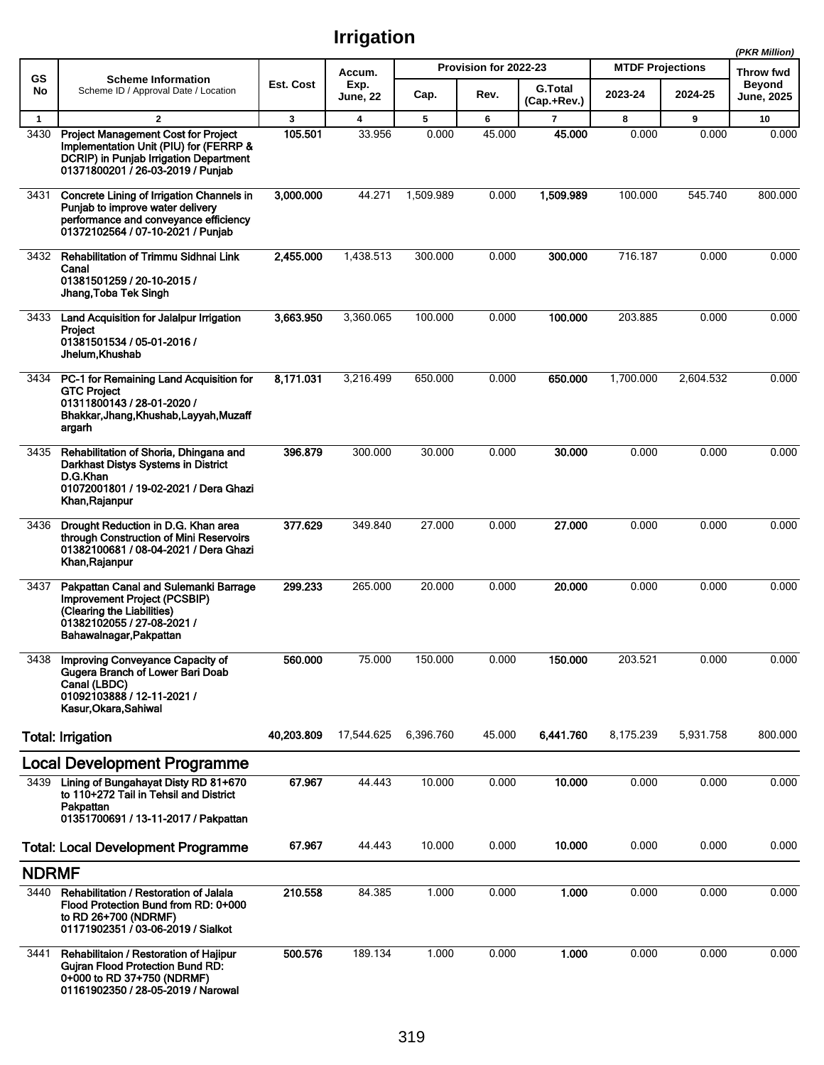|              |                                                                                                                                                                     |            |                         |           |                       |                               |                         |           | (PKR Million)               |  |
|--------------|---------------------------------------------------------------------------------------------------------------------------------------------------------------------|------------|-------------------------|-----------|-----------------------|-------------------------------|-------------------------|-----------|-----------------------------|--|
| <b>GS</b>    | <b>Scheme Information</b>                                                                                                                                           |            | Accum.                  |           | Provision for 2022-23 |                               | <b>MTDF Projections</b> |           | Throw fwd                   |  |
| No           | Scheme ID / Approval Date / Location                                                                                                                                | Est. Cost  | Exp.<br><b>June, 22</b> | Cap.      | Rev.                  | <b>G.Total</b><br>(Cap.+Rev.) | 2023-24                 | 2024-25   | <b>Beyond</b><br>June, 2025 |  |
| $\mathbf{1}$ | $\overline{2}$                                                                                                                                                      | 3          | 4                       | 5         | 6                     | $\overline{7}$                | 8                       | 9         | 10                          |  |
| 3430         | <b>Project Management Cost for Project</b><br>Implementation Unit (PIU) for (FERRP &<br>DCRIP) in Punjab Irrigation Department<br>01371800201 / 26-03-2019 / Punjab | 105.501    | 33.956                  | 0.000     | 45.000                | 45.000                        | 0.000                   | 0.000     | 0.000                       |  |
| 3431         | Concrete Lining of Irrigation Channels in<br>Punjab to improve water delivery<br>performance and conveyance efficiency<br>01372102564 / 07-10-2021 / Punjab         | 3,000.000  | 44.271                  | 1,509.989 | 0.000                 | 1,509.989                     | 100.000                 | 545.740   | 800.000                     |  |
| 3432         | Rehabilitation of Trimmu Sidhnai Link<br>Canal<br>01381501259 / 20-10-2015 /<br>Jhang,Toba Tek Singh                                                                | 2,455.000  | 1,438.513               | 300.000   | 0.000                 | 300.000                       | 716.187                 | 0.000     | 0.000                       |  |
| 3433         | Land Acquisition for Jalalpur Irrigation<br>Proiect<br>01381501534 / 05-01-2016 /<br>Jhelum, Khushab                                                                | 3,663.950  | 3,360.065               | 100.000   | 0.000                 | 100.000                       | 203.885                 | 0.000     | 0.000                       |  |
| 3434         | PC-1 for Remaining Land Acquisition for<br><b>GTC Project</b><br>01311800143 / 28-01-2020 /<br>Bhakkar, Jhang, Khushab, Layyah, Muzaff<br>argarh                    | 8,171.031  | 3,216.499               | 650.000   | 0.000                 | 650,000                       | 1,700.000               | 2,604.532 | 0.000                       |  |
| 3435         | Rehabilitation of Shoria, Dhingana and<br>Darkhast Distys Systems in District<br>D.G.Khan<br>01072001801 / 19-02-2021 / Dera Ghazi<br>Khan, Rajanpur                | 396.879    | 300.000                 | 30.000    | 0.000                 | 30.000                        | 0.000                   | 0.000     | 0.000                       |  |
| 3436         | Drought Reduction in D.G. Khan area<br>through Construction of Mini Reservoirs<br>01382100681 / 08-04-2021 / Dera Ghazi<br>Khan, Rajanpur                           | 377.629    | 349.840                 | 27.000    | 0.000                 | 27.000                        | 0.000                   | 0.000     | 0.000                       |  |
| 3437         | Pakpattan Canal and Sulemanki Barrage<br><b>Improvement Project (PCSBIP)</b><br>(Clearing the Liabilities)<br>01382102055 / 27-08-2021 /<br>Bahawalnagar, Pakpattan | 299.233    | 265.000                 | 20.000    | 0.000                 | 20,000                        | 0.000                   | 0.000     | 0.000                       |  |
| 3438         | Improving Conveyance Capacity of<br>Gugera Branch of Lower Bari Doab<br>Canal (LBDC)<br>01092103888 / 12-11-2021 /<br>Kasur Okara Sahiwal                           | 560.000    | 75.000                  | 150.000   | 0.000                 | 150.000                       | 203.521                 | 0.000     | 0.000                       |  |
|              | <b>Total: Irrigation</b>                                                                                                                                            | 40,203.809 | 17,544.625              | 6,396.760 | 45.000                | 6.441.760                     | 8,175.239               | 5,931.758 | 800.000                     |  |
|              | Local Development Programme                                                                                                                                         |            |                         |           |                       |                               |                         |           |                             |  |
| 3439         | Lining of Bungahayat Disty RD 81+670<br>to 110+272 Tail in Tehsil and District<br>Pakpattan<br>01351700691 / 13-11-2017 / Pakpattan                                 | 67.967     | 44.443                  | 10.000    | 0.000                 | 10.000                        | 0.000                   | 0.000     | 0.000                       |  |
|              | <b>Total: Local Development Programme</b>                                                                                                                           | 67.967     | 44.443                  | 10.000    | 0.000                 | 10.000                        | 0.000                   | 0.000     | 0.000                       |  |
| <b>NDRMF</b> |                                                                                                                                                                     |            |                         |           |                       |                               |                         |           |                             |  |
| 3440         | Rehabilitation / Restoration of Jalala<br>Flood Protection Bund from RD: 0+000<br>to RD 26+700 (NDRMF)<br>01171902351 / 03-06-2019 / Sialkot                        | 210.558    | 84.385                  | 1.000     | 0.000                 | 1.000                         | 0.000                   | 0.000     | 0.000                       |  |
| 3441         | Rehabilitaion / Restoration of Hajipur<br><b>Gujran Flood Protection Bund RD:</b><br>0+000 to RD 37+750 (NDRMF)<br>01161902350 / 28-05-2019 / Narowal               | 500.576    | 189.134                 | 1.000     | 0.000                 | 1.000                         | 0.000                   | 0.000     | 0.000                       |  |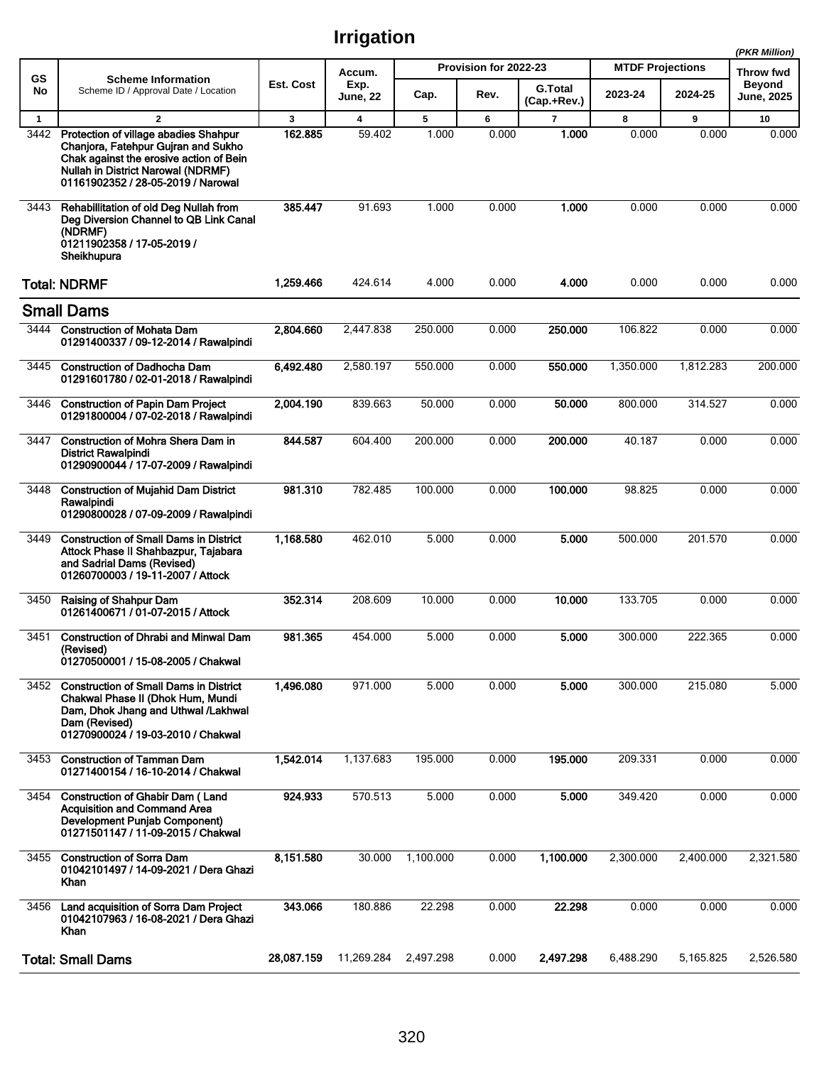|              |                                                                                                                                                                                                            |            |                         |           |                       |                               |                         |           | (PKR Million)               |
|--------------|------------------------------------------------------------------------------------------------------------------------------------------------------------------------------------------------------------|------------|-------------------------|-----------|-----------------------|-------------------------------|-------------------------|-----------|-----------------------------|
| <b>GS</b>    | <b>Scheme Information</b>                                                                                                                                                                                  |            | Accum.                  |           | Provision for 2022-23 |                               | <b>MTDF Projections</b> |           | Throw fwd                   |
| No           | Scheme ID / Approval Date / Location                                                                                                                                                                       | Est. Cost  | Exp.<br><b>June, 22</b> | Cap.      | Rev.                  | <b>G.Total</b><br>(Cap.+Rev.) | 2023-24                 | 2024-25   | <b>Beyond</b><br>June, 2025 |
| $\mathbf{1}$ | $\mathbf{2}$                                                                                                                                                                                               | 3          | $\overline{\mathbf{4}}$ | 5         | 6                     | $\overline{7}$                | 8                       | 9         | 10                          |
| 3442         | Protection of village abadies Shahpur<br>Chaniora. Fatehpur Guiran and Sukho<br>Chak against the erosive action of Bein<br><b>Nullah in District Narowal (NDRMF)</b><br>01161902352 / 28-05-2019 / Narowal | 162.885    | 59.402                  | 1.000     | 0.000                 | 1.000                         | 0.000                   | 0.000     | 0.000                       |
| 3443         | Rehabillitation of old Deg Nullah from<br>Deg Diversion Channel to QB Link Canal<br>(NDRMF)<br>01211902358 / 17-05-2019 /<br>Sheikhupura                                                                   | 385.447    | 91.693                  | 1.000     | 0.000                 | 1.000                         | 0.000                   | 0.000     | 0.000                       |
|              | <b>Total: NDRMF</b>                                                                                                                                                                                        | 1,259.466  | 424.614                 | 4.000     | 0.000                 | 4.000                         | 0.000                   | 0.000     | 0.000                       |
|              | <b>Small Dams</b>                                                                                                                                                                                          |            |                         |           |                       |                               |                         |           |                             |
|              | 3444 Construction of Mohata Dam<br>01291400337 / 09-12-2014 / Rawalpindi                                                                                                                                   | 2,804.660  | 2,447.838               | 250.000   | 0.000                 | 250.000                       | 106.822                 | 0.000     | 0.000                       |
| 3445         | <b>Construction of Dadhocha Dam</b><br>01291601780 / 02-01-2018 / Rawalpindi                                                                                                                               | 6,492.480  | 2,580.197               | 550.000   | 0.000                 | 550.000                       | 1,350.000               | 1,812.283 | 200.000                     |
| 3446         | <b>Construction of Papin Dam Project</b><br>01291800004 / 07-02-2018 / Rawalpindi                                                                                                                          | 2,004.190  | 839.663                 | 50.000    | 0.000                 | 50.000                        | 800.000                 | 314.527   | 0.000                       |
| 3447         | <b>Construction of Mohra Shera Dam in</b><br><b>District Rawalpindi</b><br>01290900044 / 17-07-2009 / Rawalpindi                                                                                           | 844.587    | 604.400                 | 200.000   | 0.000                 | 200.000                       | 40.187                  | 0.000     | 0.000                       |
| 3448         | <b>Construction of Mujahid Dam District</b><br>Rawalpindi<br>01290800028 / 07-09-2009 / Rawalpindi                                                                                                         | 981.310    | 782.485                 | 100.000   | 0.000                 | 100.000                       | 98.825                  | 0.000     | 0.000                       |
| 3449         | <b>Construction of Small Dams in District</b><br>Attock Phase II Shahbazpur, Tajabara<br>and Sadrial Dams (Revised)<br>01260700003 / 19-11-2007 / Attock                                                   | 1,168.580  | 462.010                 | 5.000     | 0.000                 | 5.000                         | 500.000                 | 201.570   | 0.000                       |
| 3450         | Raising of Shahpur Dam<br>01261400671 / 01-07-2015 / Attock                                                                                                                                                | 352.314    | 208.609                 | 10.000    | 0.000                 | 10.000                        | 133.705                 | 0.000     | 0.000                       |
| 3451         | <b>Construction of Dhrabi and Minwal Dam</b><br>(Revised)<br>01270500001 / 15-08-2005 / Chakwal                                                                                                            | 981.365    | 454.000                 | 5.000     | 0.000                 | 5.000                         | 300.000                 | 222.365   | 0.000                       |
| 3452         | <b>Construction of Small Dams in District</b><br>Chakwal Phase II (Dhok Hum, Mundi<br>Dam, Dhok Jhang and Uthwal /Lakhwal<br>Dam (Revised)<br>01270900024 / 19-03-2010 / Chakwal                           | 1,496.080  | 971.000                 | 5.000     | 0.000                 | 5.000                         | 300.000                 | 215.080   | 5.000                       |
| 3453         | <b>Construction of Tamman Dam</b><br>01271400154 / 16-10-2014 / Chakwal                                                                                                                                    | 1,542.014  | 1,137.683               | 195.000   | 0.000                 | 195.000                       | 209.331                 | 0.000     | 0.000                       |
| 3454         | <b>Construction of Ghabir Dam (Land</b><br><b>Acquisition and Command Area</b><br>Development Punjab Component)<br>01271501147 / 11-09-2015 / Chakwal                                                      | 924.933    | 570.513                 | 5.000     | 0.000                 | 5.000                         | 349.420                 | 0.000     | 0.000                       |
| 3455         | <b>Construction of Sorra Dam</b><br>01042101497 / 14-09-2021 / Dera Ghazi<br>Khan                                                                                                                          | 8,151.580  | 30.000                  | 1,100.000 | 0.000                 | 1,100.000                     | 2,300.000               | 2,400.000 | 2,321.580                   |
| 3456         | Land acquisition of Sorra Dam Project<br>01042107963 / 16-08-2021 / Dera Ghazi<br>Khan                                                                                                                     | 343.066    | 180.886                 | 22.298    | 0.000                 | 22.298                        | 0.000                   | 0.000     | 0.000                       |
|              | <b>Total: Small Dams</b>                                                                                                                                                                                   | 28,087.159 | 11,269.284              | 2,497.298 | 0.000                 | 2,497.298                     | 6,488.290               | 5,165.825 | 2,526.580                   |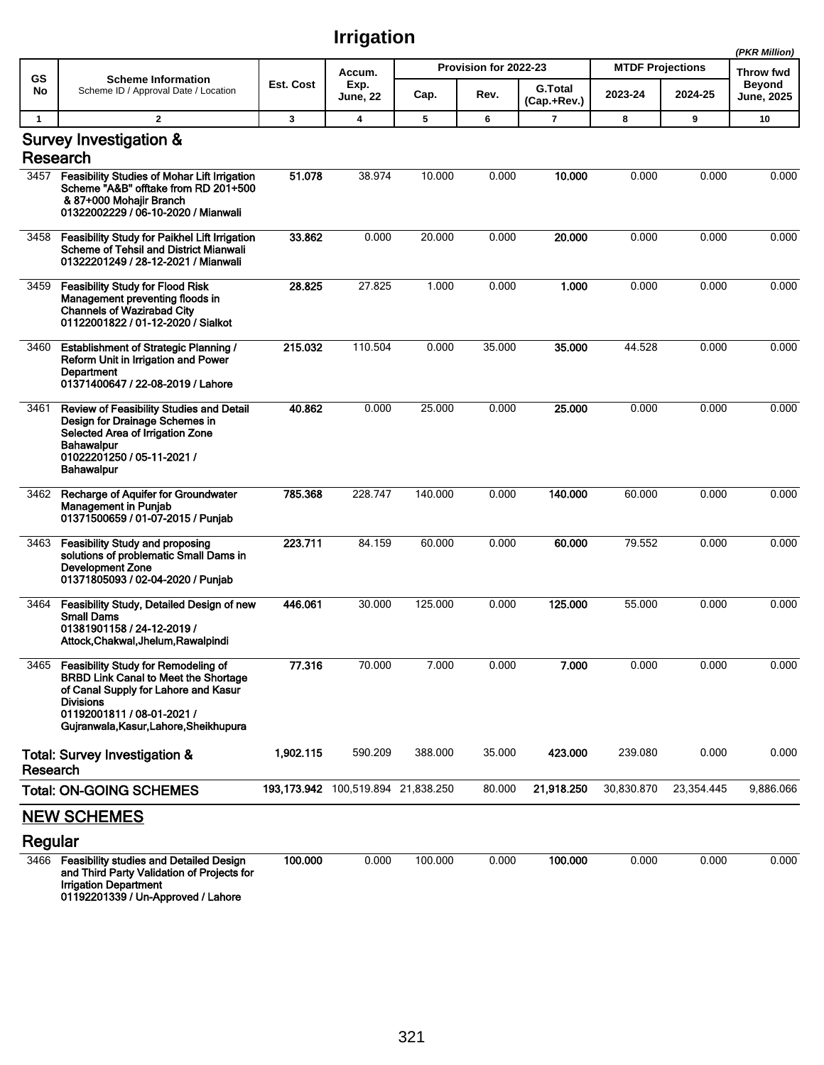|              |                                                                                                                                                                                                                        |           |                                          |         |                       |                               |                         |            | (PKR Million)               |
|--------------|------------------------------------------------------------------------------------------------------------------------------------------------------------------------------------------------------------------------|-----------|------------------------------------------|---------|-----------------------|-------------------------------|-------------------------|------------|-----------------------------|
| GS           | <b>Scheme Information</b>                                                                                                                                                                                              |           | Accum.                                   |         | Provision for 2022-23 |                               | <b>MTDF Projections</b> |            | Throw fwd                   |
| No           | Scheme ID / Approval Date / Location                                                                                                                                                                                   | Est. Cost | Exp.<br>June, 22                         | Cap.    | Rev.                  | <b>G.Total</b><br>(Cap.+Rev.) | 2023-24                 | 2024-25    | <b>Beyond</b><br>June, 2025 |
| $\mathbf{1}$ | $\mathbf{2}$                                                                                                                                                                                                           | 3         | 4                                        | 5       | 6                     | $\overline{7}$                | 8                       | 9          | 10                          |
|              | Survey Investigation &<br>Research                                                                                                                                                                                     |           |                                          |         |                       |                               |                         |            |                             |
| 3457         | <b>Feasibility Studies of Mohar Lift Irrigation</b><br>Scheme "A&B" offtake from RD 201+500<br>& 87+000 Mohajir Branch<br>01322002229 / 06-10-2020 / Mianwali                                                          | 51.078    | 38.974                                   | 10.000  | 0.000                 | 10.000                        | 0.000                   | 0.000      | 0.000                       |
| 3458         | Feasibility Study for Paikhel Lift Irrigation<br><b>Scheme of Tehsil and District Mianwali</b><br>01322201249 / 28-12-2021 / Mianwali                                                                                  | 33.862    | 0.000                                    | 20.000  | 0.000                 | 20.000                        | 0.000                   | 0.000      | 0.000                       |
| 3459         | <b>Feasibility Study for Flood Risk</b><br>Management preventing floods in<br><b>Channels of Wazirabad City</b><br>01122001822 / 01-12-2020 / Sialkot                                                                  | 28.825    | 27.825                                   | 1.000   | 0.000                 | 1.000                         | 0.000                   | 0.000      | 0.000                       |
| 3460         | <b>Establishment of Strategic Planning /</b><br>Reform Unit in Irrigation and Power<br><b>Department</b><br>01371400647 / 22-08-2019 / Lahore                                                                          | 215.032   | 110.504                                  | 0.000   | 35.000                | 35.000                        | 44.528                  | 0.000      | 0.000                       |
| 3461         | Review of Feasibility Studies and Detail<br>Design for Drainage Schemes in<br>Selected Area of Irrigation Zone<br><b>Bahawalpur</b><br>01022201250 / 05-11-2021 /<br><b>Bahawalpur</b>                                 | 40.862    | 0.000                                    | 25.000  | 0.000                 | 25.000                        | 0.000                   | 0.000      | 0.000                       |
| 3462         | Recharge of Aquifer for Groundwater<br><b>Management in Punjab</b><br>01371500659 / 01-07-2015 / Punjab                                                                                                                | 785.368   | 228.747                                  | 140.000 | 0.000                 | 140.000                       | 60.000                  | 0.000      | 0.000                       |
| 3463         | <b>Feasibility Study and proposing</b><br>solutions of problematic Small Dams in<br><b>Development Zone</b><br>01371805093 / 02-04-2020 / Punjab                                                                       | 223.711   | 84.159                                   | 60.000  | 0.000                 | 60.000                        | 79.552                  | 0.000      | 0.000                       |
| 3464         | Feasibility Study, Detailed Design of new<br><b>Small Dams</b><br>01381901158 / 24-12-2019 /<br>Attock, Chakwal, Jhelum, Rawalpindi                                                                                    | 446.061   | 30.000                                   | 125.000 | 0.000                 | 125.000                       | 55.000                  | 0.000      | 0.000                       |
| 3465         | Feasibility Study for Remodeling of<br><b>BRBD Link Canal to Meet the Shortage</b><br>of Canal Supply for Lahore and Kasur<br><b>Divisions</b><br>01192001811 / 08-01-2021 /<br>Gujranwala, Kasur, Lahore, Sheikhupura | 77.316    | 70.000                                   | 7.000   | 0.000                 | 7.000                         | 0.000                   | 0.000      | 0.000                       |
| Research     | Total: Survey Investigation &                                                                                                                                                                                          | 1,902.115 | 590.209                                  | 388.000 | 35.000                | 423.000                       | 239.080                 | 0.000      | 0.000                       |
|              | <b>Total: ON-GOING SCHEMES</b>                                                                                                                                                                                         |           | 193, 173. 942 100, 519. 894 21, 838. 250 |         | 80.000                | 21,918.250                    | 30,830.870              | 23,354.445 | 9,886.066                   |
|              | <b>NEW SCHEMES</b>                                                                                                                                                                                                     |           |                                          |         |                       |                               |                         |            |                             |
| Regular      |                                                                                                                                                                                                                        |           |                                          |         |                       |                               |                         |            |                             |
| 3466         | <b>Feasibility studies and Detailed Design</b><br>and Third Party Validation of Projects for<br><b>Irrigation Department</b><br>$0.1$ 100001000 $11.4.8$                                                               | 100.000   | 0.000                                    | 100.000 | 0.000                 | 100.000                       | 0.000                   | 0.000      | 0.000                       |

01192201339 / Un-Approved / Lahore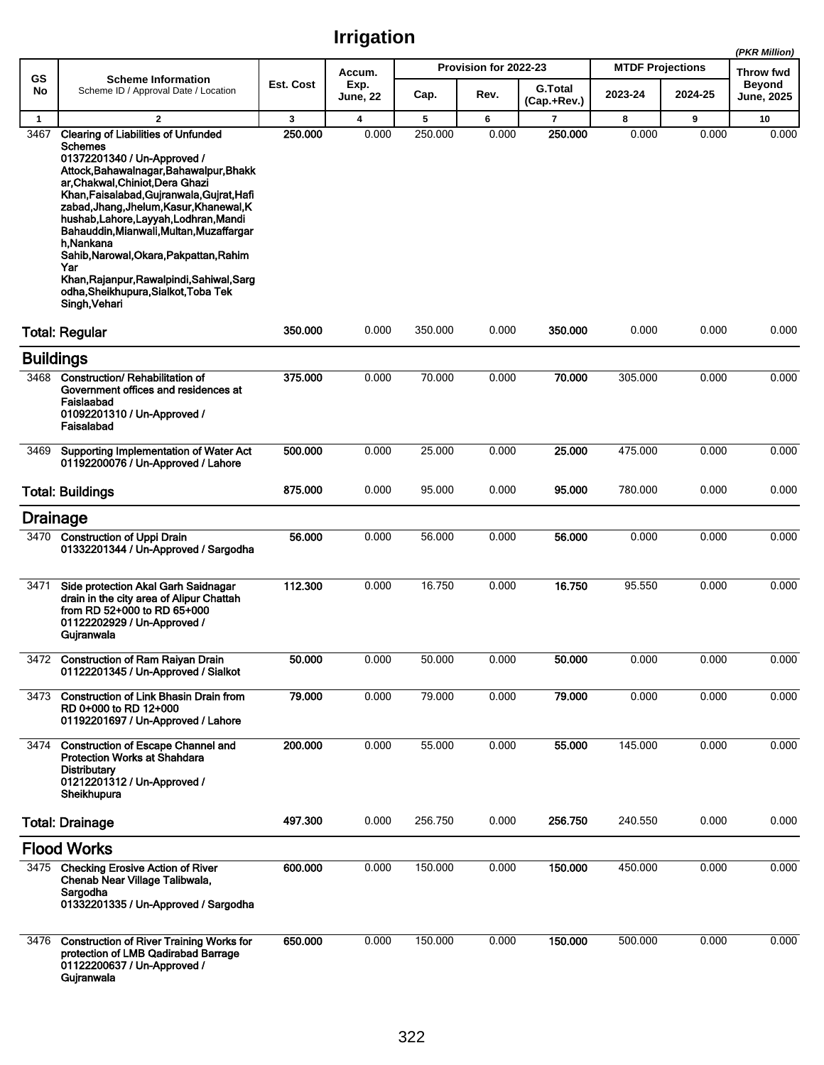|                  |                                                                                                                                                                                                                                                                                                                                                                                                                                                                                                                                 |              |                         |         |                       |                               |                         |         | (PKR Million)                      |
|------------------|---------------------------------------------------------------------------------------------------------------------------------------------------------------------------------------------------------------------------------------------------------------------------------------------------------------------------------------------------------------------------------------------------------------------------------------------------------------------------------------------------------------------------------|--------------|-------------------------|---------|-----------------------|-------------------------------|-------------------------|---------|------------------------------------|
| GS               | <b>Scheme Information</b>                                                                                                                                                                                                                                                                                                                                                                                                                                                                                                       |              | Accum.                  |         | Provision for 2022-23 |                               | <b>MTDF Projections</b> |         | <b>Throw fwd</b>                   |
| No               | Scheme ID / Approval Date / Location                                                                                                                                                                                                                                                                                                                                                                                                                                                                                            | Est. Cost    | Exp.<br><b>June, 22</b> | Cap.    | Rev.                  | <b>G.Total</b><br>(Cap.+Rev.) | 2023-24                 | 2024-25 | <b>Beyond</b><br><b>June, 2025</b> |
| $\mathbf{1}$     | $\overline{2}$                                                                                                                                                                                                                                                                                                                                                                                                                                                                                                                  | $\mathbf{3}$ | $\overline{\mathbf{4}}$ | 5       | 6                     | $\overline{7}$                | 8                       | 9       | 10                                 |
| 3467             | <b>Clearing of Liabilities of Unfunded</b><br><b>Schemes</b><br>01372201340 / Un-Approved /<br>Attock, Bahawalnagar, Bahawalpur, Bhakk<br>ar, Chakwal, Chiniot, Dera Ghazi<br>Khan, Faisalabad, Gujranwala, Gujrat, Hafi<br>zabad, Jhang, Jhelum, Kasur, Khanewal, K<br>hushab, Lahore, Layyah, Lodhran, Mandi<br>Bahauddin, Mianwali, Multan, Muzaffargar<br>h Nankana<br>Sahib, Narowal, Okara, Pakpattan, Rahim<br>Yar<br>Khan, Rajanpur, Rawalpindi, Sahiwal, Sarg<br>odha, Sheikhupura, Sialkot, Toba Tek<br>Singh, Vehari | 250.000      | 0.000                   | 250.000 | 0.000                 | 250.000                       | 0.000                   | 0.000   | 0.000                              |
|                  | <b>Total: Regular</b>                                                                                                                                                                                                                                                                                                                                                                                                                                                                                                           | 350.000      | 0.000                   | 350.000 | 0.000                 | 350.000                       | 0.000                   | 0.000   | 0.000                              |
| <b>Buildings</b> |                                                                                                                                                                                                                                                                                                                                                                                                                                                                                                                                 |              |                         |         |                       |                               |                         |         |                                    |
| 3468             | <b>Construction/ Rehabilitation of</b><br>Government offices and residences at<br>Faislaabad<br>01092201310 / Un-Approved /<br>Faisalabad                                                                                                                                                                                                                                                                                                                                                                                       | 375.000      | 0.000                   | 70.000  | 0.000                 | 70.000                        | 305.000                 | 0.000   | 0.000                              |
| 3469             | Supporting Implementation of Water Act<br>01192200076 / Un-Approved / Lahore                                                                                                                                                                                                                                                                                                                                                                                                                                                    | 500.000      | 0.000                   | 25.000  | 0.000                 | 25.000                        | 475.000                 | 0.000   | 0.000                              |
|                  | <b>Total: Buildings</b>                                                                                                                                                                                                                                                                                                                                                                                                                                                                                                         | 875.000      | 0.000                   | 95.000  | 0.000                 | 95.000                        | 780.000                 | 0.000   | 0.000                              |
| <b>Drainage</b>  |                                                                                                                                                                                                                                                                                                                                                                                                                                                                                                                                 |              |                         |         |                       |                               |                         |         |                                    |
| 3470             | <b>Construction of Uppi Drain</b><br>01332201344 / Un-Approved / Sargodha                                                                                                                                                                                                                                                                                                                                                                                                                                                       | 56.000       | 0.000                   | 56.000  | 0.000                 | 56.000                        | 0.000                   | 0.000   | 0.000                              |
| 3471             | Side protection Akal Garh Saidnagar<br>drain in the city area of Alipur Chattah<br>from RD 52+000 to RD 65+000<br>01122202929 / Un-Approved /<br>Gujranwala                                                                                                                                                                                                                                                                                                                                                                     | 112.300      | 0.000                   | 16.750  | 0.000                 | 16.750                        | 95.550                  | 0.000   | 0.000                              |
|                  | 3472 Construction of Ram Raiyan Drain<br>01122201345 / Un-Approved / Sialkot                                                                                                                                                                                                                                                                                                                                                                                                                                                    | 50.000       | 0.000                   | 50.000  | 0.000                 | 50.000                        | 0.000                   | 0.000   | 0.000                              |
| 3473             | <b>Construction of Link Bhasin Drain from</b><br>RD 0+000 to RD 12+000<br>01192201697 / Un-Approved / Lahore                                                                                                                                                                                                                                                                                                                                                                                                                    | 79.000       | 0.000                   | 79.000  | 0.000                 | 79.000                        | 0.000                   | 0.000   | 0.000                              |
| 3474             | <b>Construction of Escape Channel and</b><br><b>Protection Works at Shahdara</b><br><b>Distributary</b><br>01212201312 / Un-Approved /<br>Sheikhupura                                                                                                                                                                                                                                                                                                                                                                           | 200.000      | 0.000                   | 55.000  | 0.000                 | 55.000                        | 145.000                 | 0.000   | 0.000                              |
|                  | <b>Total: Drainage</b>                                                                                                                                                                                                                                                                                                                                                                                                                                                                                                          | 497.300      | 0.000                   | 256.750 | 0.000                 | 256.750                       | 240.550                 | 0.000   | 0.000                              |
|                  | <b>Flood Works</b>                                                                                                                                                                                                                                                                                                                                                                                                                                                                                                              |              |                         |         |                       |                               |                         |         |                                    |
| 3475             | <b>Checking Erosive Action of River</b><br>Chenab Near Village Talibwala,<br>Sargodha<br>01332201335 / Un-Approved / Sargodha                                                                                                                                                                                                                                                                                                                                                                                                   | 600.000      | 0.000                   | 150.000 | 0.000                 | 150.000                       | 450.000                 | 0.000   | 0.000                              |
| 3476             | <b>Construction of River Training Works for</b><br>protection of LMB Qadirabad Barrage<br>01122200637 / Un-Approved /<br>Gujranwala                                                                                                                                                                                                                                                                                                                                                                                             | 650.000      | 0.000                   | 150.000 | 0.000                 | 150.000                       | 500.000                 | 0.000   | 0.000                              |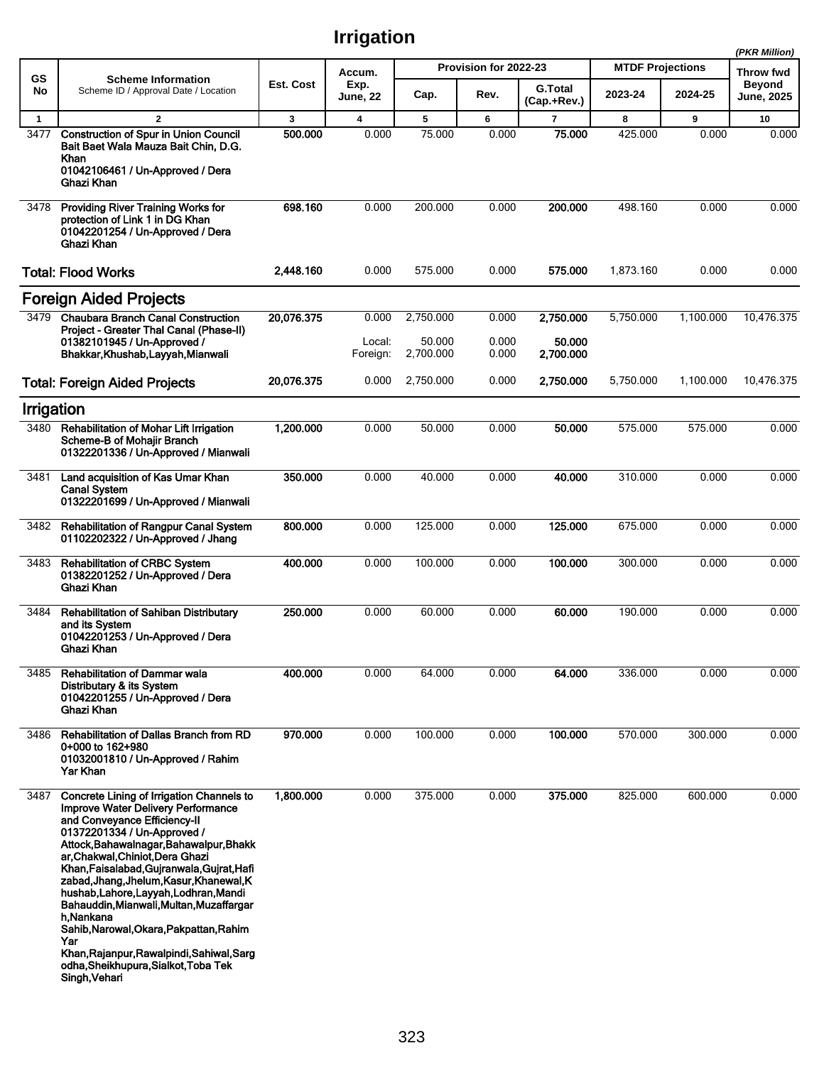|              |                                                                                                                                                                                                                                                                                                                                                                                                                                                                                                                                                                                          |            |                         |           |                       |                               |                         |           | (PKR Million)              |
|--------------|------------------------------------------------------------------------------------------------------------------------------------------------------------------------------------------------------------------------------------------------------------------------------------------------------------------------------------------------------------------------------------------------------------------------------------------------------------------------------------------------------------------------------------------------------------------------------------------|------------|-------------------------|-----------|-----------------------|-------------------------------|-------------------------|-----------|----------------------------|
| <b>GS</b>    | <b>Scheme Information</b>                                                                                                                                                                                                                                                                                                                                                                                                                                                                                                                                                                | Est. Cost  | Accum.                  |           | Provision for 2022-23 |                               | <b>MTDF Projections</b> |           | Throw fwd<br><b>Beyond</b> |
| No           | Scheme ID / Approval Date / Location                                                                                                                                                                                                                                                                                                                                                                                                                                                                                                                                                     |            | Exp.<br><b>June, 22</b> | Cap.      | Rev.                  | <b>G.Total</b><br>(Cap.+Rev.) | 2023-24                 | 2024-25   | June, 2025                 |
| $\mathbf{1}$ | $\overline{2}$                                                                                                                                                                                                                                                                                                                                                                                                                                                                                                                                                                           | 3          | $\overline{\mathbf{4}}$ | 5         | 6                     | $\overline{7}$                | 8                       | 9         | 10                         |
| 3477         | <b>Construction of Spur in Union Council</b><br>Bait Baet Wala Mauza Bait Chin, D.G.<br>Khan<br>01042106461 / Un-Approved / Dera<br>Ghazi Khan                                                                                                                                                                                                                                                                                                                                                                                                                                           | 500.000    | 0.000                   | 75.000    | 0.000                 | 75.000                        | 425.000                 | 0.000     | 0.000                      |
| 3478         | <b>Providing River Training Works for</b><br>protection of Link 1 in DG Khan<br>01042201254 / Un-Approved / Dera<br>Ghazi Khan                                                                                                                                                                                                                                                                                                                                                                                                                                                           | 698.160    | 0.000                   | 200.000   | 0.000                 | 200.000                       | 498.160                 | 0.000     | 0.000                      |
|              | <b>Total: Flood Works</b>                                                                                                                                                                                                                                                                                                                                                                                                                                                                                                                                                                | 2,448.160  | 0.000                   | 575.000   | 0.000                 | 575.000                       | 1,873.160               | 0.000     | 0.000                      |
|              | <b>Foreign Aided Projects</b>                                                                                                                                                                                                                                                                                                                                                                                                                                                                                                                                                            |            |                         |           |                       |                               |                         |           |                            |
| 3479         | <b>Chaubara Branch Canal Construction</b><br>Project - Greater Thal Canal (Phase-II)                                                                                                                                                                                                                                                                                                                                                                                                                                                                                                     | 20,076.375 | 0.000                   | 2,750.000 | 0.000                 | 2,750.000                     | 5.750.000               | 1,100.000 | 10,476.375                 |
|              | 01382101945 / Un-Approved /                                                                                                                                                                                                                                                                                                                                                                                                                                                                                                                                                              |            | Local:                  | 50.000    | 0.000                 | 50.000                        |                         |           |                            |
|              | Bhakkar, Khushab, Layyah, Mianwali                                                                                                                                                                                                                                                                                                                                                                                                                                                                                                                                                       |            | Foreign:                | 2,700.000 | 0.000                 | 2,700.000                     |                         |           |                            |
|              | <b>Total: Foreign Aided Projects</b>                                                                                                                                                                                                                                                                                                                                                                                                                                                                                                                                                     | 20,076.375 | 0.000                   | 2,750.000 | 0.000                 | 2,750.000                     | 5,750.000               | 1,100.000 | 10,476.375                 |
| Irrigation   |                                                                                                                                                                                                                                                                                                                                                                                                                                                                                                                                                                                          |            |                         |           |                       |                               |                         |           |                            |
| 3480         | Rehabilitation of Mohar Lift Irrigation<br>Scheme-B of Mohajir Branch<br>01322201336 / Un-Approved / Mianwali                                                                                                                                                                                                                                                                                                                                                                                                                                                                            | 1,200.000  | 0.000                   | 50.000    | 0.000                 | 50.000                        | 575.000                 | 575.000   | 0.000                      |
| 3481         | Land acquisition of Kas Umar Khan<br><b>Canal System</b><br>01322201699 / Un-Approved / Mianwali                                                                                                                                                                                                                                                                                                                                                                                                                                                                                         | 350.000    | 0.000                   | 40.000    | 0.000                 | 40.000                        | 310.000                 | 0.000     | 0.000                      |
| 3482         | <b>Rehabilitation of Rangpur Canal System</b><br>01102202322 / Un-Approved / Jhang                                                                                                                                                                                                                                                                                                                                                                                                                                                                                                       | 800.000    | 0.000                   | 125.000   | 0.000                 | 125.000                       | 675.000                 | 0.000     | 0.000                      |
| 3483         | <b>Rehabilitation of CRBC System</b><br>01382201252 / Un-Approved / Dera<br>Ghazi Khan                                                                                                                                                                                                                                                                                                                                                                                                                                                                                                   | 400.000    | 0.000                   | 100.000   | 0.000                 | 100.000                       | 300.000                 | 0.000     | 0.000                      |
| 3484         | <b>Rehabilitation of Sahiban Distributary</b><br>and its System<br>01042201253 / Un-Approved / Dera<br>Ghazi Khan                                                                                                                                                                                                                                                                                                                                                                                                                                                                        | 250.000    | 0.000                   | 60.000    | 0.000                 | 60.000                        | 190.000                 | 0.000     | 0.000                      |
| 3485         | <b>Rehabilitation of Dammar wala</b><br>Distributary & its System<br>01042201255 / Un-Approved / Dera<br>Ghazi Khan                                                                                                                                                                                                                                                                                                                                                                                                                                                                      | 400.000    | 0.000                   | 64.000    | 0.000                 | 64.000                        | 336.000                 | 0.000     | 0.000                      |
| 3486         | Rehabilitation of Dallas Branch from RD<br>0+000 to 162+980<br>01032001810 / Un-Approved / Rahim<br>Yar Khan                                                                                                                                                                                                                                                                                                                                                                                                                                                                             | 970.000    | 0.000                   | 100.000   | 0.000                 | 100.000                       | 570.000                 | 300.000   | 0.000                      |
| 3487         | Concrete Lining of Irrigation Channels to<br><b>Improve Water Delivery Performance</b><br>and Conveyance Efficiency-II<br>01372201334 / Un-Approved /<br>Attock, Bahawalnagar, Bahawalpur, Bhakk<br>ar, Chakwal, Chiniot, Dera Ghazi<br>Khan, Faisalabad, Gujranwala, Gujrat, Hafi<br>zabad, Jhang, Jhelum, Kasur, Khanewal, K<br>hushab, Lahore, Layyah, Lodhran, Mandi<br>Bahauddin, Mianwali, Multan, Muzaffargar<br>h.Nankana<br>Sahib, Narowal, Okara, Pakpattan, Rahim<br>Yar<br>Khan, Rajanpur, Rawalpindi, Sahiwal, Sarg<br>odha, Sheikhupura, Sialkot, Toba Tek<br>Singh, Vehan | 1,800.000  | 0.000                   | 375.000   | 0.000                 | 375.000                       | 825.000                 | 600.000   | 0.000                      |